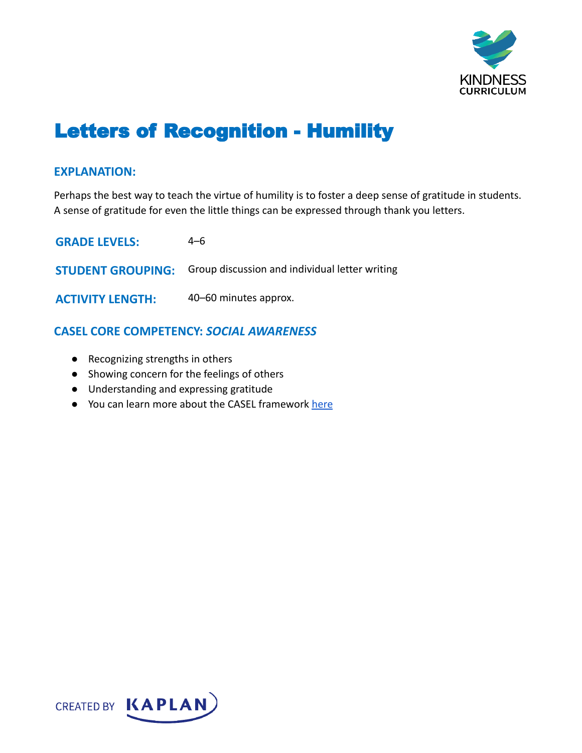

# Letters of Recognition - Humility

### **EXPLANATION:**

Perhaps the best way to teach the virtue of humility is to foster a deep sense of gratitude in students. A sense of gratitude for even the little things can be expressed through thank you letters.

**GRADE LEVELS:** 4–6 **STUDENT GROUPING:** Group discussion and individual letter writing **ACTIVITY LENGTH:** 40–60 minutes approx.

# **CASEL CORE COMPETENCY:** *SOCIAL AWARENESS*

- Recognizing strengths in others
- Showing concern for the feelings of others
- Understanding and expressing gratitude
- You can learn more about the CASEL framework [here](https://casel.org/sel-framework/)

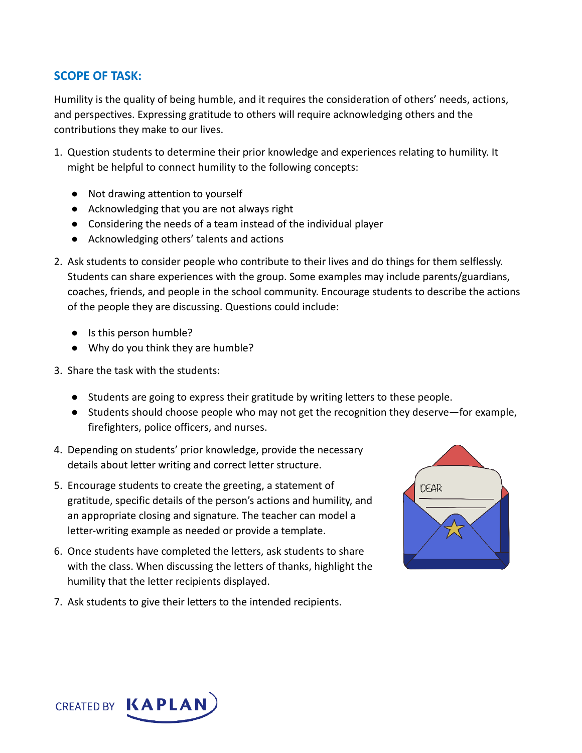# **SCOPE OF TASK:**

Humility is the quality of being humble, and it requires the consideration of others' needs, actions, and perspectives. Expressing gratitude to others will require acknowledging others and the contributions they make to our lives.

- 1. Question students to determine their prior knowledge and experiences relating to humility. It might be helpful to connect humility to the following concepts:
	- Not drawing attention to yourself
	- Acknowledging that you are not always right
	- Considering the needs of a team instead of the individual player
	- Acknowledging others' talents and actions
- 2. Ask students to consider people who contribute to their lives and do things for them selflessly. Students can share experiences with the group. Some examples may include parents/guardians, coaches, friends, and people in the school community. Encourage students to describe the actions of the people they are discussing. Questions could include:
	- Is this person humble?
	- Why do you think they are humble?
- 3. Share the task with the students:
	- Students are going to express their gratitude by writing letters to these people.
	- Students should choose people who may not get the recognition they deserve—for example, firefighters, police officers, and nurses.
- 4. Depending on students' prior knowledge, provide the necessary details about letter writing and correct letter structure.
- 5. Encourage students to create the greeting, a statement of gratitude, specific details of the person's actions and humility, and an appropriate closing and signature. The teacher can model a letter-writing example as needed or provide a template.
- 6. Once students have completed the letters, ask students to share with the class. When discussing the letters of thanks, highlight the humility that the letter recipients displayed.
- 7. Ask students to give their letters to the intended recipients.